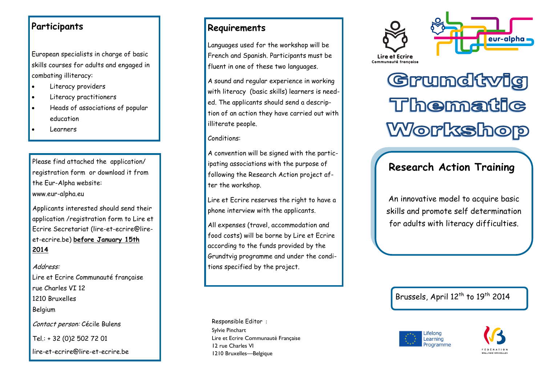### **Participants**

European specialists in charge of basic skills courses for adults and engaged in combating illiteracy:

- Literacy providers
- Literacy practitioners
- Heads of associations of popular education
- Learners

Please find attached the application/ registration form or download it from the Eur -Alpha website: www.eur -alpha.eu

Applicants interested should send their application /registration form to Lire et Ecrire Secretariat (lire -et [-ecrire@lire](mailto:lire-et-ecrire@lire-et-ecrire.be) et [-ecrire.be\)](mailto:lire-et-ecrire@lire-et-ecrire.be) **before January 15th 2014**

#### Address:

Lire et Ecrire Communauté française rue Charles VI 12 1210 Bruxelles Belgium

Contact person: Cécile Bulens

Tel.: + 32 (0)2 502 72 01

lire -et [-ecrire@lire](mailto:lire-et-ecrire@lire-et-ecrire.be) -et -ecrire.be

### **Requirements**

Languages used for the workshop will be French and Spanish. Participants must be fluent in one of these two languages.

A sound and regular experience in working with literacy (basic skills) learners is needed. The applicants should send a description of an action they have carried out with illiterate people.

Conditions:

A convention will be signed with the partic ipating associations with the purpose of following the Research Action project after the workshop.

Lire et Ecrire reserves the right to have a phone interview with the applicants.

All expenses (travel, accommodation and food costs) will be borne by Lire et Ecrire according to the funds provided by the Grundtvig programme and under the conditions specified by the project.

Responsible Editor : Sylvie Pinchart Lire et Ecrire Communauté Française 12 rue Charles VI 1210 Bruxelles —Belgique





Grundtvig Thematic Workshop

# **Research Action Training**

An innovative model to acquire basic skills and promote self determination for adults with literacy difficulties.

Brussels, April 12<sup>th</sup> to 19<sup>th</sup> 2014